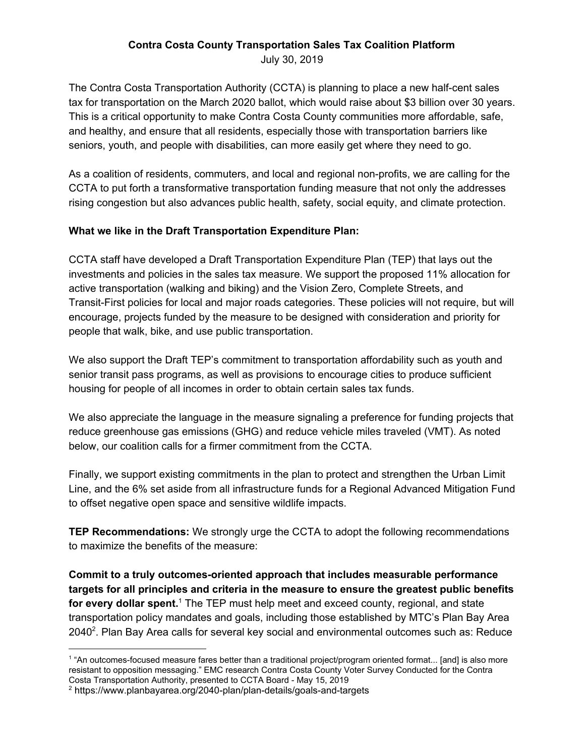## **Contra Costa County Transportation Sales Tax Coalition Platform** July 30, 2019

The Contra Costa Transportation Authority (CCTA) is planning to place a new half-cent sales tax for transportation on the March 2020 ballot, which would raise about \$3 billion over 30 years. This is a critical opportunity to make Contra Costa County communities more affordable, safe, and healthy, and ensure that all residents, especially those with transportation barriers like seniors, youth, and people with disabilities, can more easily get where they need to go.

As a coalition of residents, commuters, and local and regional non-profits, we are calling for the CCTA to put forth a transformative transportation funding measure that not only the addresses rising congestion but also advances public health, safety, social equity, and climate protection.

## **What we like in the Draft Transportation Expenditure Plan:**

CCTA staff have developed a Draft Transportation Expenditure Plan (TEP) that lays out the investments and policies in the sales tax measure. We support the proposed 11% allocation for active transportation (walking and biking) and the Vision Zero, Complete Streets, and Transit-First policies for local and major roads categories. These policies will not require, but will encourage, projects funded by the measure to be designed with consideration and priority for people that walk, bike, and use public transportation.

We also support the Draft TEP's commitment to transportation affordability such as youth and senior transit pass programs, as well as provisions to encourage cities to produce sufficient housing for people of all incomes in order to obtain certain sales tax funds.

We also appreciate the language in the measure signaling a preference for funding projects that reduce greenhouse gas emissions (GHG) and reduce vehicle miles traveled (VMT). As noted below, our coalition calls for a firmer commitment from the CCTA.

Finally, we support existing commitments in the plan to protect and strengthen the Urban Limit Line, and the 6% set aside from all infrastructure funds for a Regional Advanced Mitigation Fund to offset negative open space and sensitive wildlife impacts.

**TEP Recommendations:** We strongly urge the CCTA to adopt the following recommendations to maximize the benefits of the measure:

**Commit to a truly outcomes-oriented approach that includes measurable performance targets for all principles and criteria in the measure to ensure the greatest public benefits** for every dollar spent.<sup>1</sup> The TEP must help meet and exceed county, regional, and state transportation policy mandates and goals, including those established by MTC's Plan Bay Area  $2040<sup>2</sup>$ . Plan Bay Area calls for several key social and environmental outcomes such as: Reduce

<sup>1</sup> "An outcomes-focused measure fares better than a traditional project/program oriented format... [and] is also more resistant to opposition messaging." EMC research Contra Costa County Voter Survey Conducted for the Contra Costa Transportation Authority, presented to CCTA Board - May 15, 2019

<sup>2</sup> https://www.planbayarea.org/2040-plan/plan-details/goals-and-targets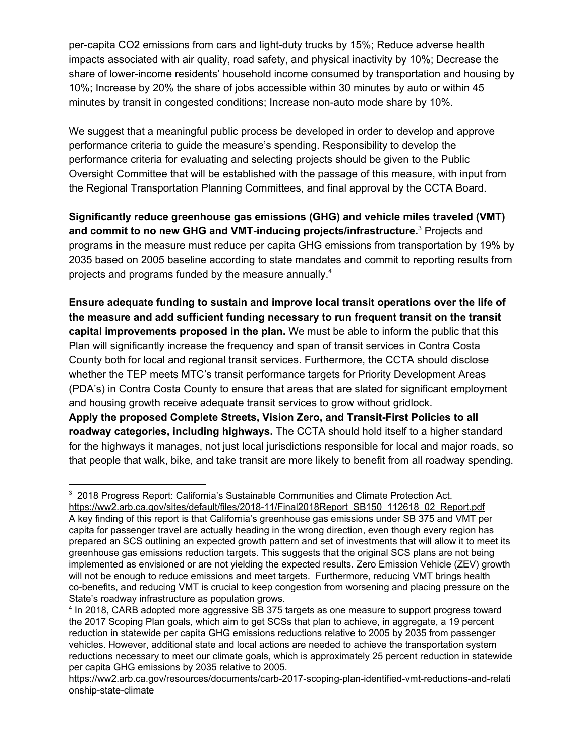per-capita CO2 emissions from cars and light-duty trucks by 15%; Reduce adverse health impacts associated with air quality, road safety, and physical inactivity by 10%; Decrease the share of lower-income residents' household income consumed by transportation and housing by 10%; Increase by 20% the share of jobs accessible within 30 minutes by auto or within 45 minutes by transit in congested conditions; Increase non-auto mode share by 10%.

We suggest that a meaningful public process be developed in order to develop and approve performance criteria to guide the measure's spending. Responsibility to develop the performance criteria for evaluating and selecting projects should be given to the Public Oversight Committee that will be established with the passage of this measure, with input from the Regional Transportation Planning Committees, and final approval by the CCTA Board.

**Significantly reduce greenhouse gas emissions (GHG) and vehicle miles traveled (VMT) and commit to no new GHG and VMT-inducing projects/infrastructure.<sup>3</sup> Projects and** programs in the measure must reduce per capita GHG emissions from transportation by 19% by 2035 based on 2005 baseline according to state mandates and commit to reporting results from projects and programs funded by the measure annually.<sup>4</sup>

**Ensure adequate funding to sustain and improve local transit operations over the life of the measure and add sufficient funding necessary to run frequent transit on the transit capital improvements proposed in the plan.** We must be able to inform the public that this Plan will significantly increase the frequency and span of transit services in Contra Costa County both for local and regional transit services. Furthermore, the CCTA should disclose whether the TEP meets MTC's transit performance targets for Priority Development Areas (PDA's) in Contra Costa County to ensure that areas that are slated for significant employment and housing growth receive adequate transit services to grow without gridlock.

**Apply the proposed Complete Streets, Vision Zero, and Transit-First Policies to all roadway categories, including highways.** The CCTA should hold itself to a higher standard for the highways it manages, not just local jurisdictions responsible for local and major roads, so that people that walk, bike, and take transit are more likely to benefit from all roadway spending.

<sup>&</sup>lt;sup>3</sup> 2018 Progress Report: California's Sustainable Communities and Climate Protection Act.

[https://ww2.arb.ca.gov/sites/default/files/2018-11/Final2018Report\\_SB150\\_112618\\_02\\_Report.pdf](https://ww2.arb.ca.gov/sites/default/files/2018-11/Final2018Report_SB150_112618_02_Report.pdf) A key finding of this report is that California's greenhouse gas emissions under SB 375 and VMT per capita for passenger travel are actually heading in the wrong direction, even though every region has prepared an SCS outlining an expected growth pattern and set of investments that will allow it to meet its greenhouse gas emissions reduction targets. This suggests that the original SCS plans are not being implemented as envisioned or are not yielding the expected results. Zero Emission Vehicle (ZEV) growth will not be enough to reduce emissions and meet targets. Furthermore, reducing VMT brings health co-benefits, and reducing VMT is crucial to keep congestion from worsening and placing pressure on the State's roadway infrastructure as population grows.

<sup>4</sup> In 2018, CARB adopted more aggressive SB 375 targets as one measure to support progress toward the 2017 Scoping Plan goals, which aim to get SCSs that plan to achieve, in aggregate, a 19 percent reduction in statewide per capita GHG emissions reductions relative to 2005 by 2035 from passenger vehicles. However, additional state and local actions are needed to achieve the transportation system reductions necessary to meet our climate goals, which is approximately 25 percent reduction in statewide per capita GHG emissions by 2035 relative to 2005.

https://ww2.arb.ca.gov/resources/documents/carb-2017-scoping-plan-identified-vmt-reductions-and-relati onship-state-climate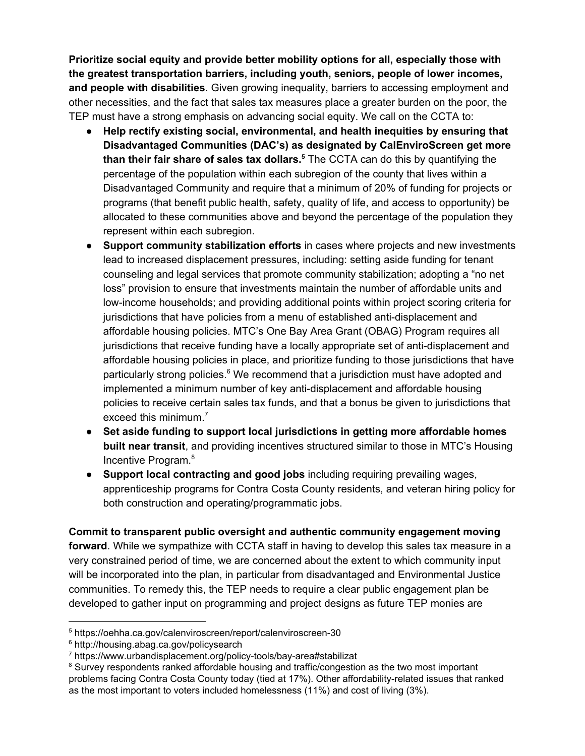**Prioritize social equity and provide better mobility options for all, especially those with the greatest transportation barriers, including youth, seniors, people of lower incomes, and people with disabilities**. Given growing inequality, barriers to accessing employment and other necessities, and the fact that sales tax measures place a greater burden on the poor, the TEP must have a strong emphasis on advancing social equity. We call on the CCTA to:

- **Help rectify existing social, environmental, and health inequities by ensuring that Disadvantaged Communities (DAC's) as designated by CalEnviroScreen get more than their fair share of sales tax dollars.** The CCTA can do this by quantifying the **5** percentage of the population within each subregion of the county that lives within a Disadvantaged Community and require that a minimum of 20% of funding for projects or programs (that benefit public health, safety, quality of life, and access to opportunity) be allocated to these communities above and beyond the percentage of the population they represent within each subregion.
- **Support community stabilization efforts** in cases where projects and new investments lead to increased displacement pressures, including: setting aside funding for tenant counseling and legal services that promote community stabilization; adopting a "no net loss" provision to ensure that investments maintain the number of affordable units and low-income households; and providing additional points within project scoring criteria for jurisdictions that have policies from a menu of established anti-displacement and affordable housing policies. MTC's One Bay Area Grant (OBAG) Program requires all jurisdictions that receive funding have a locally appropriate set of anti-displacement and affordable housing policies in place, and prioritize funding to those jurisdictions that have particularly strong policies. $6$  We recommend that a jurisdiction must have adopted and implemented a minimum number of key anti-displacement and affordable housing policies to receive certain sales tax funds, and that a bonus be given to jurisdictions that exceed this minimum.<sup>7</sup>
- **Set aside funding to support local jurisdictions in getting more affordable homes built near transit**, and providing incentives structured similar to those in MTC's Housing Incentive Program. 8
- **Support local contracting and good jobs** including requiring prevailing wages, apprenticeship programs for Contra Costa County residents, and veteran hiring policy for both construction and operating/programmatic jobs.

## **Commit to transparent public oversight and authentic community engagement moving**

**forward**. While we sympathize with CCTA staff in having to develop this sales tax measure in a very constrained period of time, we are concerned about the extent to which community input will be incorporated into the plan, in particular from disadvantaged and Environmental Justice communities. To remedy this, the TEP needs to require a clear public engagement plan be developed to gather input on programming and project designs as future TEP monies are

<sup>5</sup> https://oehha.ca.gov/calenviroscreen/report/calenviroscreen-30

<sup>6</sup> http://housing.abag.ca.gov/policysearch

<sup>7</sup> https://www.urbandisplacement.org/policy-tools/bay-area#stabilizat

<sup>&</sup>lt;sup>8</sup> Survey respondents ranked affordable housing and traffic/congestion as the two most important problems facing Contra Costa County today (tied at 17%). Other affordability-related issues that ranked as the most important to voters included homelessness (11%) and cost of living (3%).